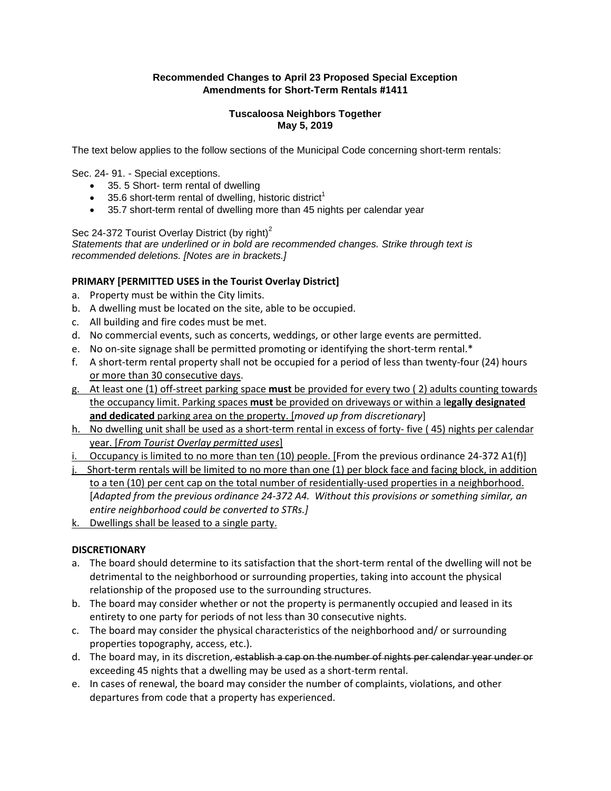# **Recommended Changes to April 23 Proposed Special Exception Amendments for Short-Term Rentals #1411**

### **Tuscaloosa Neighbors Together May 5, 2019**

The text below applies to the follow sections of the Municipal Code concerning short-term rentals:

Sec. 24- 91. - Special exceptions.

- 35. 5 Short- term rental of dwelling
- 35.6 short-term rental of dwelling, historic district<sup>1</sup>
- 35.7 short-term rental of dwelling more than 45 nights per calendar year

### Sec 24-372 Tourist Overlay District (by right)<sup>2</sup>

*Statements that are underlined or in bold are recommended changes. Strike through text is recommended deletions. [Notes are in brackets.]*

# **PRIMARY [PERMITTED USES in the Tourist Overlay District]**

- a. Property must be within the City limits.
- b. A dwelling must be located on the site, able to be occupied.
- c. All building and fire codes must be met.
- d. No commercial events, such as concerts, weddings, or other large events are permitted.
- e. No on-site signage shall be permitted promoting or identifying the short-term rental.\*
- f. A short-term rental property shall not be occupied for a period of less than twenty-four (24) hours or more than 30 consecutive days.
- g. At least one (1) off-street parking space **must** be provided for every two ( 2) adults counting towards the occupancy limit. Parking spaces **must** be provided on driveways or within a l**egally designated and dedicated** parking area on the property. [*moved up from discretionary*]
- h. No dwelling unit shall be used as a short-term rental in excess of forty- five ( 45) nights per calendar year. [*From Tourist Overlay permitted uses*]
- i. Occupancy is limited to no more than ten  $(10)$  people. [From the previous ordinance 24-372 A1(f)]
- j. Short-term rentals will be limited to no more than one (1) per block face and facing block, in addition to a ten (10) per cent cap on the total number of residentially-used properties in a neighborhood. [*Adapted from the previous ordinance 24-372 A4. Without this provisions or something similar, an entire neighborhood could be converted to STRs.]*
- k. Dwellings shall be leased to a single party.

### **DISCRETIONARY**

- a. The board should determine to its satisfaction that the short-term rental of the dwelling will not be detrimental to the neighborhood or surrounding properties, taking into account the physical relationship of the proposed use to the surrounding structures.
- b. The board may consider whether or not the property is permanently occupied and leased in its entirety to one party for periods of not less than 30 consecutive nights.
- c. The board may consider the physical characteristics of the neighborhood and/ or surrounding properties topography, access, etc.).
- d. The board may, in its discretion, establish a cap on the number of nights per calendar year under or exceeding 45 nights that a dwelling may be used as a short-term rental.
- e. In cases of renewal, the board may consider the number of complaints, violations, and other departures from code that a property has experienced.